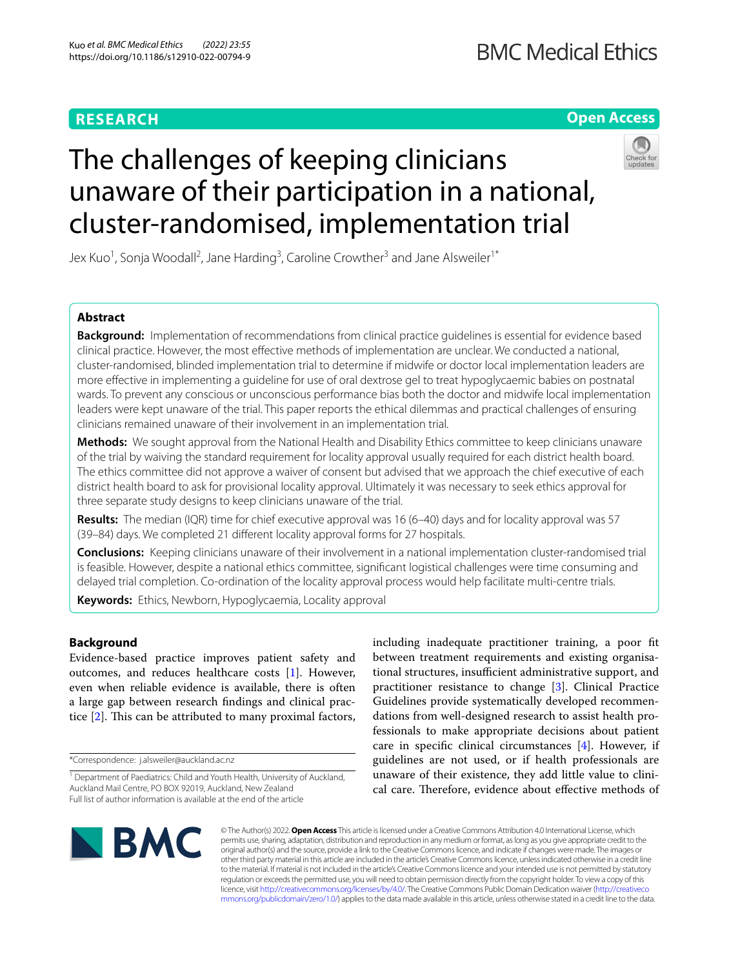# **RESEARCH**

**Open Access**

# The challenges of keeping clinicians unaware of their participation in a national, cluster-randomised, implementation trial



Jex Kuo<sup>1</sup>, Sonja Woodall<sup>2</sup>, Jane Harding<sup>3</sup>, Caroline Crowther<sup>3</sup> and Jane Alsweiler<sup>1\*</sup>

# **Abstract**

**Background:** Implementation of recommendations from clinical practice guidelines is essential for evidence based clinical practice. However, the most efective methods of implementation are unclear. We conducted a national, cluster-randomised, blinded implementation trial to determine if midwife or doctor local implementation leaders are more efective in implementing a guideline for use of oral dextrose gel to treat hypoglycaemic babies on postnatal wards. To prevent any conscious or unconscious performance bias both the doctor and midwife local implementation leaders were kept unaware of the trial. This paper reports the ethical dilemmas and practical challenges of ensuring clinicians remained unaware of their involvement in an implementation trial.

**Methods:** We sought approval from the National Health and Disability Ethics committee to keep clinicians unaware of the trial by waiving the standard requirement for locality approval usually required for each district health board. The ethics committee did not approve a waiver of consent but advised that we approach the chief executive of each district health board to ask for provisional locality approval. Ultimately it was necessary to seek ethics approval for three separate study designs to keep clinicians unaware of the trial.

**Results:** The median (IQR) time for chief executive approval was 16 (6–40) days and for locality approval was 57 (39–84) days. We completed 21 diferent locality approval forms for 27 hospitals.

**Conclusions:** Keeping clinicians unaware of their involvement in a national implementation cluster-randomised trial is feasible. However, despite a national ethics committee, signifcant logistical challenges were time consuming and delayed trial completion. Co-ordination of the locality approval process would help facilitate multi-centre trials.

**Keywords:** Ethics, Newborn, Hypoglycaemia, Locality approval

# **Background**

Evidence-based practice improves patient safety and outcomes, and reduces healthcare costs [[1\]](#page-6-0). However, even when reliable evidence is available, there is often a large gap between research fndings and clinical practice  $[2]$  $[2]$ . This can be attributed to many proximal factors,

\*Correspondence: j.alsweiler@auckland.ac.nz

including inadequate practitioner training, a poor ft between treatment requirements and existing organisational structures, insufficient administrative support, and practitioner resistance to change [[3\]](#page-6-2). Clinical Practice Guidelines provide systematically developed recommendations from well-designed research to assist health professionals to make appropriate decisions about patient care in specifc clinical circumstances [[4\]](#page-6-3). However, if guidelines are not used, or if health professionals are unaware of their existence, they add little value to clinical care. Therefore, evidence about effective methods of



© The Author(s) 2022. **Open Access** This article is licensed under a Creative Commons Attribution 4.0 International License, which permits use, sharing, adaptation, distribution and reproduction in any medium or format, as long as you give appropriate credit to the original author(s) and the source, provide a link to the Creative Commons licence, and indicate if changes were made. The images or other third party material in this article are included in the article's Creative Commons licence, unless indicated otherwise in a credit line to the material. If material is not included in the article's Creative Commons licence and your intended use is not permitted by statutory regulation or exceeds the permitted use, you will need to obtain permission directly from the copyright holder. To view a copy of this licence, visit [http://creativecommons.org/licenses/by/4.0/.](http://creativecommons.org/licenses/by/4.0/) The Creative Commons Public Domain Dedication waiver ([http://creativeco](http://creativecommons.org/publicdomain/zero/1.0/) [mmons.org/publicdomain/zero/1.0/](http://creativecommons.org/publicdomain/zero/1.0/)) applies to the data made available in this article, unless otherwise stated in a credit line to the data.

<sup>&</sup>lt;sup>1</sup> Department of Paediatrics: Child and Youth Health, University of Auckland, Auckland Mail Centre, PO BOX 92019, Auckland, New Zealand Full list of author information is available at the end of the article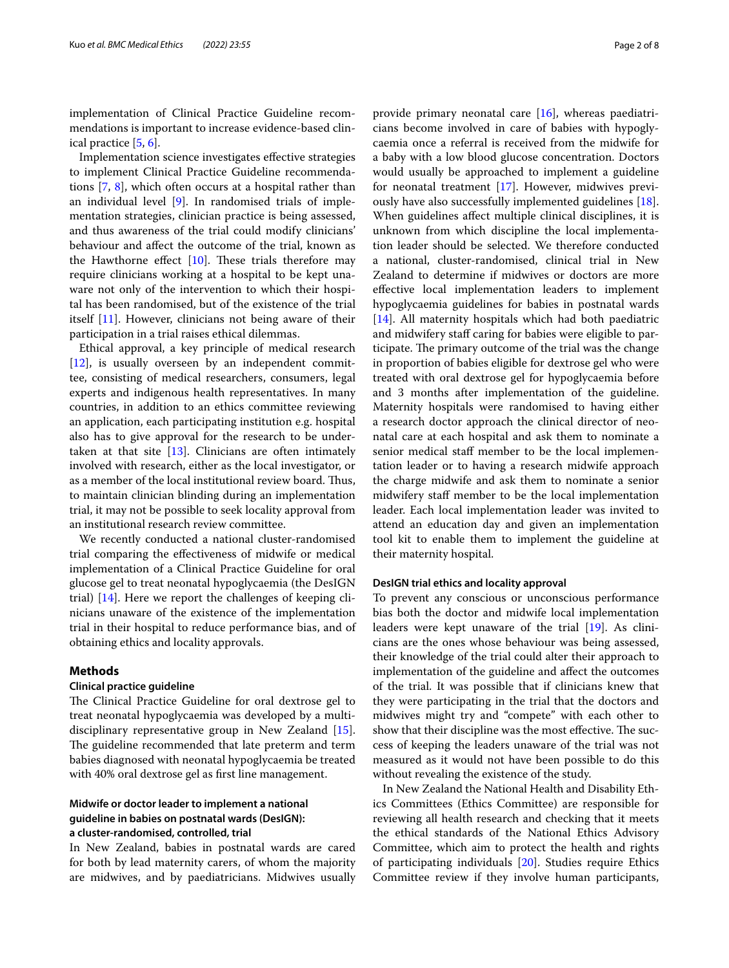implementation of Clinical Practice Guideline recommendations is important to increase evidence-based clinical practice [\[5](#page-6-4), [6\]](#page-6-5).

Implementation science investigates efective strategies to implement Clinical Practice Guideline recommendations [\[7](#page-6-6), [8\]](#page-6-7), which often occurs at a hospital rather than an individual level [[9\]](#page-6-8). In randomised trials of implementation strategies, clinician practice is being assessed, and thus awareness of the trial could modify clinicians' behaviour and afect the outcome of the trial, known as the Hawthorne effect  $[10]$  $[10]$  $[10]$ . These trials therefore may require clinicians working at a hospital to be kept unaware not only of the intervention to which their hospital has been randomised, but of the existence of the trial itself [\[11](#page-6-10)]. However, clinicians not being aware of their participation in a trial raises ethical dilemmas.

Ethical approval, a key principle of medical research [[12\]](#page-6-11), is usually overseen by an independent committee, consisting of medical researchers, consumers, legal experts and indigenous health representatives. In many countries, in addition to an ethics committee reviewing an application, each participating institution e.g. hospital also has to give approval for the research to be undertaken at that site  $[13]$  $[13]$ . Clinicians are often intimately involved with research, either as the local investigator, or as a member of the local institutional review board. Thus, to maintain clinician blinding during an implementation trial, it may not be possible to seek locality approval from an institutional research review committee.

We recently conducted a national cluster-randomised trial comparing the efectiveness of midwife or medical implementation of a Clinical Practice Guideline for oral glucose gel to treat neonatal hypoglycaemia (the DesIGN trial) [\[14\]](#page-6-13). Here we report the challenges of keeping clinicians unaware of the existence of the implementation trial in their hospital to reduce performance bias, and of obtaining ethics and locality approvals.

# **Methods**

#### **Clinical practice guideline**

The Clinical Practice Guideline for oral dextrose gel to treat neonatal hypoglycaemia was developed by a multidisciplinary representative group in New Zealand [\[15](#page-6-14)]. The guideline recommended that late preterm and term babies diagnosed with neonatal hypoglycaemia be treated with 40% oral dextrose gel as frst line management.

# **Midwife or doctor leader to implement a national guideline in babies on postnatal wards (DesIGN): a cluster‑randomised, controlled, trial**

In New Zealand, babies in postnatal wards are cared for both by lead maternity carers, of whom the majority are midwives, and by paediatricians. Midwives usually provide primary neonatal care [\[16](#page-6-15)], whereas paediatricians become involved in care of babies with hypoglycaemia once a referral is received from the midwife for a baby with a low blood glucose concentration. Doctors would usually be approached to implement a guideline for neonatal treatment [[17](#page-6-16)]. However, midwives previously have also successfully implemented guidelines [\[18](#page-6-17)]. When guidelines afect multiple clinical disciplines, it is unknown from which discipline the local implementation leader should be selected. We therefore conducted a national, cluster-randomised, clinical trial in New Zealand to determine if midwives or doctors are more efective local implementation leaders to implement hypoglycaemia guidelines for babies in postnatal wards [[14\]](#page-6-13). All maternity hospitals which had both paediatric and midwifery staff caring for babies were eligible to participate. The primary outcome of the trial was the change in proportion of babies eligible for dextrose gel who were treated with oral dextrose gel for hypoglycaemia before and 3 months after implementation of the guideline. Maternity hospitals were randomised to having either a research doctor approach the clinical director of neonatal care at each hospital and ask them to nominate a senior medical staff member to be the local implementation leader or to having a research midwife approach the charge midwife and ask them to nominate a senior midwifery staf member to be the local implementation leader. Each local implementation leader was invited to attend an education day and given an implementation tool kit to enable them to implement the guideline at their maternity hospital.

#### **DesIGN trial ethics and locality approval**

To prevent any conscious or unconscious performance bias both the doctor and midwife local implementation leaders were kept unaware of the trial [\[19](#page-6-18)]. As clinicians are the ones whose behaviour was being assessed, their knowledge of the trial could alter their approach to implementation of the guideline and afect the outcomes of the trial. It was possible that if clinicians knew that they were participating in the trial that the doctors and midwives might try and "compete" with each other to show that their discipline was the most effective. The success of keeping the leaders unaware of the trial was not measured as it would not have been possible to do this without revealing the existence of the study.

In New Zealand the National Health and Disability Ethics Committees (Ethics Committee) are responsible for reviewing all health research and checking that it meets the ethical standards of the National Ethics Advisory Committee, which aim to protect the health and rights of participating individuals [\[20](#page-6-19)]. Studies require Ethics Committee review if they involve human participants,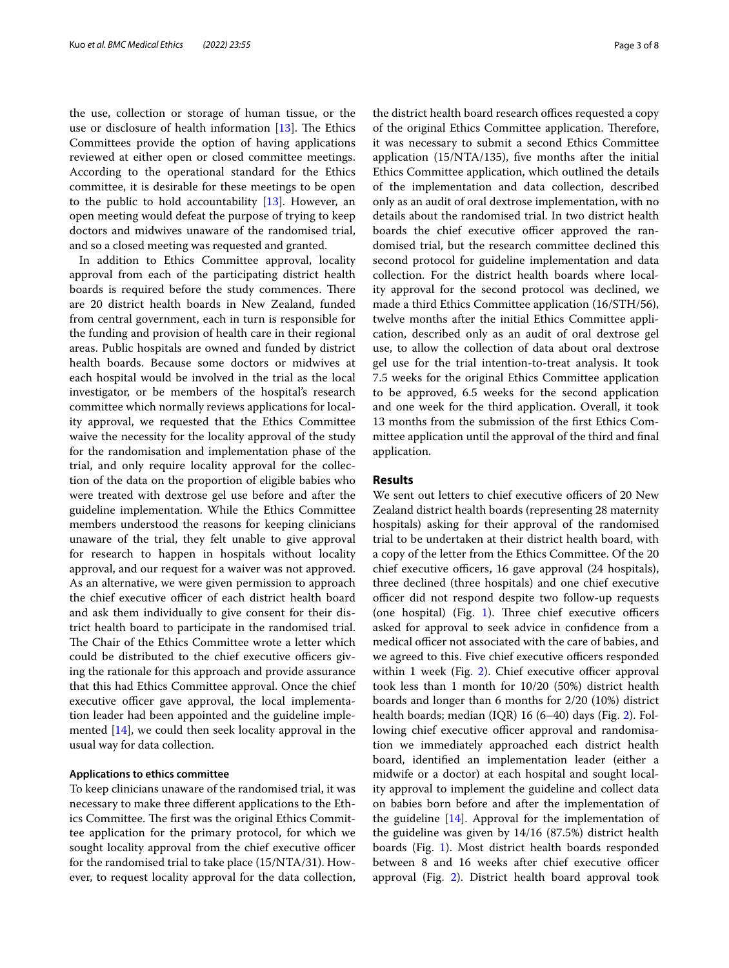the use, collection or storage of human tissue, or the use or disclosure of health information  $[13]$  $[13]$ . The Ethics Committees provide the option of having applications reviewed at either open or closed committee meetings. According to the operational standard for the Ethics committee, it is desirable for these meetings to be open to the public to hold accountability  $[13]$  $[13]$ . However, an open meeting would defeat the purpose of trying to keep doctors and midwives unaware of the randomised trial, and so a closed meeting was requested and granted.

In addition to Ethics Committee approval, locality approval from each of the participating district health boards is required before the study commences. There are 20 district health boards in New Zealand, funded from central government, each in turn is responsible for the funding and provision of health care in their regional areas. Public hospitals are owned and funded by district health boards. Because some doctors or midwives at each hospital would be involved in the trial as the local investigator, or be members of the hospital's research committee which normally reviews applications for locality approval, we requested that the Ethics Committee waive the necessity for the locality approval of the study for the randomisation and implementation phase of the trial, and only require locality approval for the collection of the data on the proportion of eligible babies who were treated with dextrose gel use before and after the guideline implementation. While the Ethics Committee members understood the reasons for keeping clinicians unaware of the trial, they felt unable to give approval for research to happen in hospitals without locality approval, and our request for a waiver was not approved. As an alternative, we were given permission to approach the chief executive officer of each district health board and ask them individually to give consent for their district health board to participate in the randomised trial. The Chair of the Ethics Committee wrote a letter which could be distributed to the chief executive officers giving the rationale for this approach and provide assurance that this had Ethics Committee approval. Once the chief executive officer gave approval, the local implementation leader had been appointed and the guideline implemented [\[14\]](#page-6-13), we could then seek locality approval in the usual way for data collection.

#### **Applications to ethics committee**

To keep clinicians unaware of the randomised trial, it was necessary to make three diferent applications to the Ethics Committee. The first was the original Ethics Committee application for the primary protocol, for which we sought locality approval from the chief executive officer for the randomised trial to take place (15/NTA/31). However, to request locality approval for the data collection, the district health board research offices requested a copy of the original Ethics Committee application. Therefore, it was necessary to submit a second Ethics Committee application (15/NTA/135), fve months after the initial Ethics Committee application, which outlined the details of the implementation and data collection, described only as an audit of oral dextrose implementation, with no details about the randomised trial. In two district health boards the chief executive officer approved the randomised trial, but the research committee declined this second protocol for guideline implementation and data collection. For the district health boards where locality approval for the second protocol was declined, we made a third Ethics Committee application (16/STH/56), twelve months after the initial Ethics Committee application, described only as an audit of oral dextrose gel use, to allow the collection of data about oral dextrose gel use for the trial intention-to-treat analysis. It took 7.5 weeks for the original Ethics Committee application to be approved, 6.5 weeks for the second application and one week for the third application. Overall, it took 13 months from the submission of the frst Ethics Committee application until the approval of the third and fnal application.

# **Results**

We sent out letters to chief executive officers of 20 New Zealand district health boards (representing 28 maternity hospitals) asking for their approval of the randomised trial to be undertaken at their district health board, with a copy of the letter from the Ethics Committee. Of the 20 chief executive officers, 16 gave approval (24 hospitals), three declined (three hospitals) and one chief executive officer did not respond despite two follow-up requests (one hospital) (Fig. [1\)](#page-3-0). Three chief executive officers asked for approval to seek advice in confdence from a medical officer not associated with the care of babies, and we agreed to this. Five chief executive officers responded within 1 week (Fig. [2\)](#page-4-0). Chief executive officer approval took less than 1 month for 10/20 (50%) district health boards and longer than 6 months for 2/20 (10%) district health boards; median (IQR) 16 (6–40) days (Fig. [2](#page-4-0)). Following chief executive officer approval and randomisation we immediately approached each district health board, identifed an implementation leader (either a midwife or a doctor) at each hospital and sought locality approval to implement the guideline and collect data on babies born before and after the implementation of the guideline  $[14]$  $[14]$ . Approval for the implementation of the guideline was given by 14/16 (87.5%) district health boards (Fig. [1](#page-3-0)). Most district health boards responded between 8 and 16 weeks after chief executive officer approval (Fig. [2](#page-4-0)). District health board approval took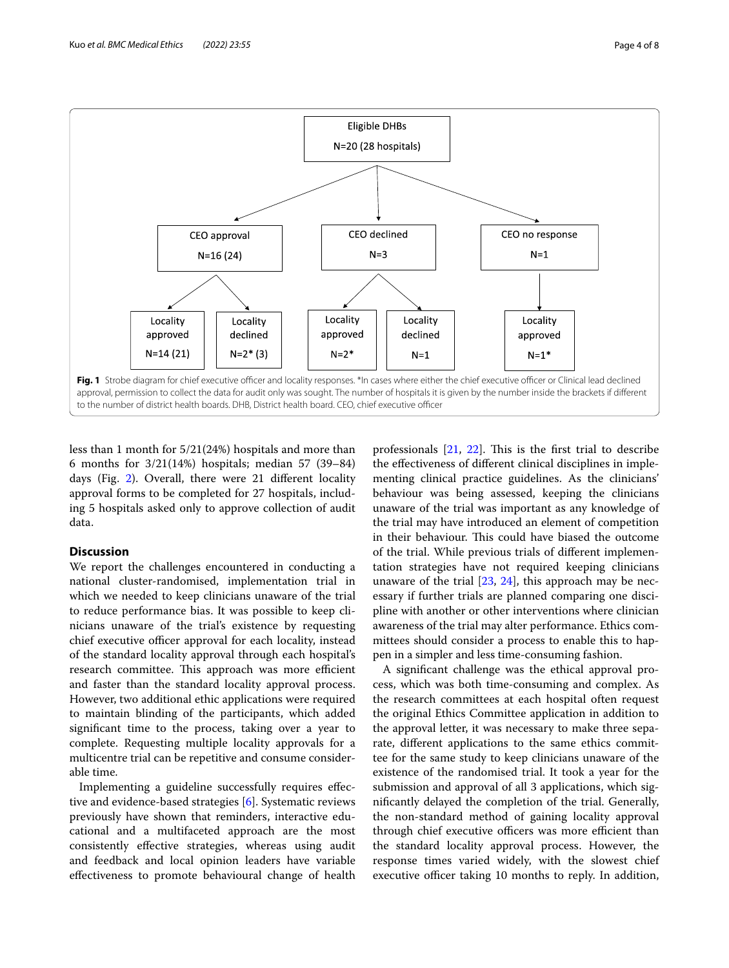

<span id="page-3-0"></span>less than 1 month for 5/21(24%) hospitals and more than 6 months for 3/21(14%) hospitals; median 57 (39–84) days (Fig. [2\)](#page-4-0). Overall, there were 21 diferent locality approval forms to be completed for 27 hospitals, including 5 hospitals asked only to approve collection of audit data.

# **Discussion**

We report the challenges encountered in conducting a national cluster-randomised, implementation trial in which we needed to keep clinicians unaware of the trial to reduce performance bias. It was possible to keep clinicians unaware of the trial's existence by requesting chief executive officer approval for each locality, instead of the standard locality approval through each hospital's research committee. This approach was more efficient and faster than the standard locality approval process. However, two additional ethic applications were required to maintain blinding of the participants, which added signifcant time to the process, taking over a year to complete. Requesting multiple locality approvals for a multicentre trial can be repetitive and consume considerable time.

Implementing a guideline successfully requires efective and evidence-based strategies [[6\]](#page-6-5). Systematic reviews previously have shown that reminders, interactive educational and a multifaceted approach are the most consistently efective strategies, whereas using audit and feedback and local opinion leaders have variable efectiveness to promote behavioural change of health

professionals  $[21, 22]$  $[21, 22]$  $[21, 22]$  $[21, 22]$ . This is the first trial to describe the efectiveness of diferent clinical disciplines in implementing clinical practice guidelines. As the clinicians' behaviour was being assessed, keeping the clinicians unaware of the trial was important as any knowledge of the trial may have introduced an element of competition in their behaviour. This could have biased the outcome of the trial. While previous trials of diferent implementation strategies have not required keeping clinicians unaware of the trial [[23,](#page-6-22) [24\]](#page-6-23), this approach may be necessary if further trials are planned comparing one discipline with another or other interventions where clinician awareness of the trial may alter performance. Ethics committees should consider a process to enable this to happen in a simpler and less time-consuming fashion.

A signifcant challenge was the ethical approval process, which was both time-consuming and complex. As the research committees at each hospital often request the original Ethics Committee application in addition to the approval letter, it was necessary to make three separate, diferent applications to the same ethics committee for the same study to keep clinicians unaware of the existence of the randomised trial. It took a year for the submission and approval of all 3 applications, which signifcantly delayed the completion of the trial. Generally, the non-standard method of gaining locality approval through chief executive officers was more efficient than the standard locality approval process. However, the response times varied widely, with the slowest chief executive officer taking 10 months to reply. In addition,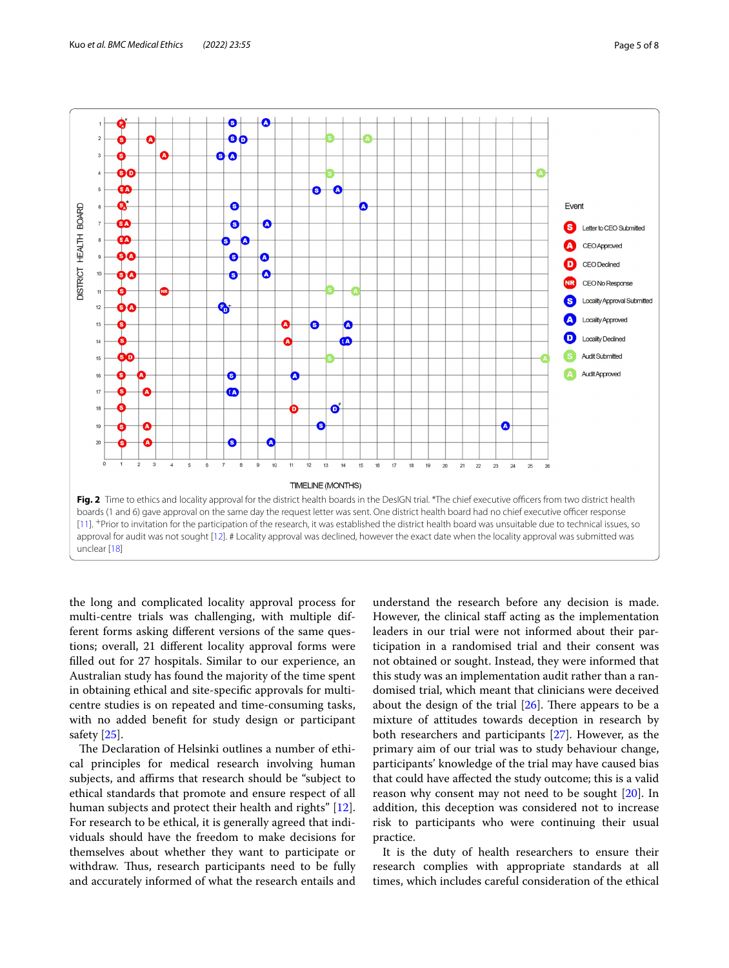

<span id="page-4-0"></span>the long and complicated locality approval process for multi-centre trials was challenging, with multiple different forms asking diferent versions of the same questions; overall, 21 diferent locality approval forms were flled out for 27 hospitals. Similar to our experience, an Australian study has found the majority of the time spent in obtaining ethical and site-specifc approvals for multicentre studies is on repeated and time-consuming tasks, with no added beneft for study design or participant safety [[25](#page-6-24)].

The Declaration of Helsinki outlines a number of ethical principles for medical research involving human subjects, and affirms that research should be "subject to ethical standards that promote and ensure respect of all human subjects and protect their health and rights" [\[12](#page-6-11)]. For research to be ethical, it is generally agreed that individuals should have the freedom to make decisions for themselves about whether they want to participate or withdraw. Thus, research participants need to be fully and accurately informed of what the research entails and

understand the research before any decision is made. However, the clinical staff acting as the implementation leaders in our trial were not informed about their participation in a randomised trial and their consent was not obtained or sought. Instead, they were informed that this study was an implementation audit rather than a randomised trial, which meant that clinicians were deceived about the design of the trial  $[26]$  $[26]$ . There appears to be a mixture of attitudes towards deception in research by both researchers and participants [\[27](#page-6-26)]. However, as the primary aim of our trial was to study behaviour change, participants' knowledge of the trial may have caused bias that could have afected the study outcome; this is a valid reason why consent may not need to be sought [\[20\]](#page-6-19). In addition, this deception was considered not to increase risk to participants who were continuing their usual practice.

It is the duty of health researchers to ensure their research complies with appropriate standards at all times, which includes careful consideration of the ethical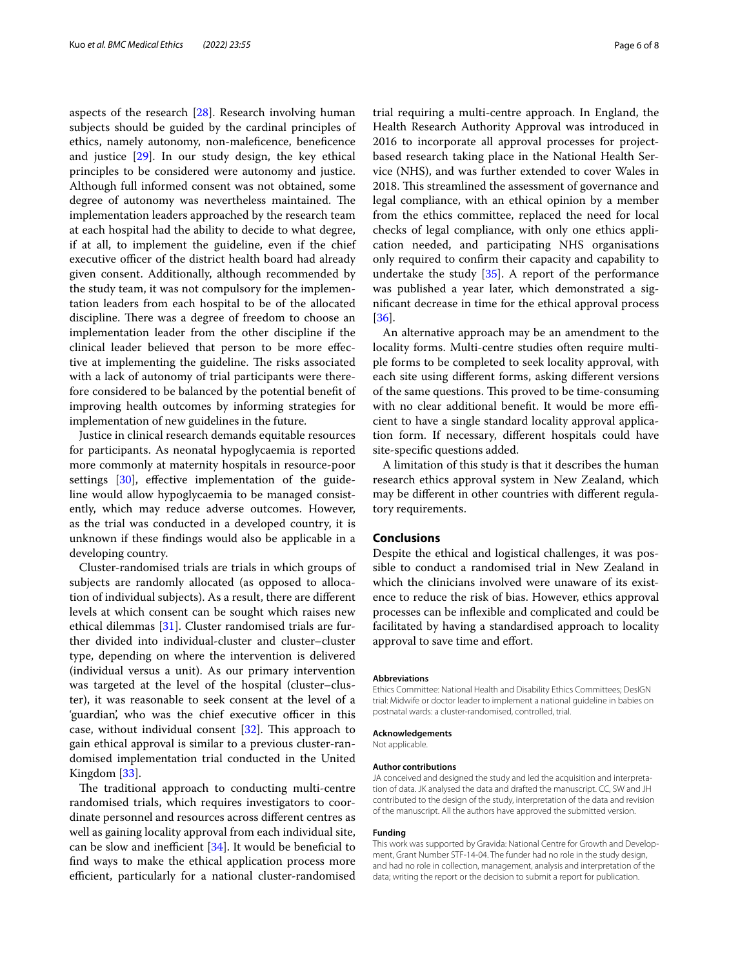aspects of the research [[28](#page-6-27)]. Research involving human subjects should be guided by the cardinal principles of ethics, namely autonomy, non-malefcence, benefcence and justice [[29](#page-6-28)]. In our study design, the key ethical principles to be considered were autonomy and justice. Although full informed consent was not obtained, some degree of autonomy was nevertheless maintained. The implementation leaders approached by the research team at each hospital had the ability to decide to what degree, if at all, to implement the guideline, even if the chief executive officer of the district health board had already given consent. Additionally, although recommended by the study team, it was not compulsory for the implementation leaders from each hospital to be of the allocated discipline. There was a degree of freedom to choose an implementation leader from the other discipline if the clinical leader believed that person to be more efective at implementing the guideline. The risks associated with a lack of autonomy of trial participants were therefore considered to be balanced by the potential beneft of improving health outcomes by informing strategies for implementation of new guidelines in the future.

Justice in clinical research demands equitable resources for participants. As neonatal hypoglycaemia is reported more commonly at maternity hospitals in resource-poor settings [[30](#page-6-29)], effective implementation of the guideline would allow hypoglycaemia to be managed consistently, which may reduce adverse outcomes. However, as the trial was conducted in a developed country, it is unknown if these fndings would also be applicable in a developing country.

Cluster-randomised trials are trials in which groups of subjects are randomly allocated (as opposed to allocation of individual subjects). As a result, there are diferent levels at which consent can be sought which raises new ethical dilemmas [[31\]](#page-6-30). Cluster randomised trials are further divided into individual-cluster and cluster–cluster type, depending on where the intervention is delivered (individual versus a unit). As our primary intervention was targeted at the level of the hospital (cluster–cluster), it was reasonable to seek consent at the level of a 'guardian', who was the chief executive officer in this case, without individual consent  $[32]$  $[32]$ . This approach to gain ethical approval is similar to a previous cluster-randomised implementation trial conducted in the United Kingdom [\[33](#page-7-0)].

The traditional approach to conducting multi-centre randomised trials, which requires investigators to coordinate personnel and resources across diferent centres as well as gaining locality approval from each individual site, can be slow and inefficient  $[34]$  $[34]$ . It would be beneficial to fnd ways to make the ethical application process more efficient, particularly for a national cluster-randomised trial requiring a multi-centre approach. In England, the Health Research Authority Approval was introduced in 2016 to incorporate all approval processes for projectbased research taking place in the National Health Service (NHS), and was further extended to cover Wales in 2018. This streamlined the assessment of governance and legal compliance, with an ethical opinion by a member from the ethics committee, replaced the need for local checks of legal compliance, with only one ethics application needed, and participating NHS organisations only required to confrm their capacity and capability to undertake the study  $[35]$  $[35]$  $[35]$ . A report of the performance was published a year later, which demonstrated a signifcant decrease in time for the ethical approval process [[36\]](#page-7-3).

An alternative approach may be an amendment to the locality forms. Multi-centre studies often require multiple forms to be completed to seek locality approval, with each site using diferent forms, asking diferent versions of the same questions. This proved to be time-consuming with no clear additional benefit. It would be more efficient to have a single standard locality approval application form. If necessary, diferent hospitals could have site-specifc questions added.

A limitation of this study is that it describes the human research ethics approval system in New Zealand, which may be diferent in other countries with diferent regulatory requirements.

#### **Conclusions**

Despite the ethical and logistical challenges, it was possible to conduct a randomised trial in New Zealand in which the clinicians involved were unaware of its existence to reduce the risk of bias. However, ethics approval processes can be infexible and complicated and could be facilitated by having a standardised approach to locality approval to save time and effort.

#### **Abbreviations**

Ethics Committee: National Health and Disability Ethics Committees; DesIGN trial: Midwife or doctor leader to implement a national guideline in babies on postnatal wards: a cluster-randomised, controlled, trial.

#### **Acknowledgements**

Not applicable.

#### **Author contributions**

JA conceived and designed the study and led the acquisition and interpretation of data. JK analysed the data and drafted the manuscript. CC, SW and JH contributed to the design of the study, interpretation of the data and revision of the manuscript. All the authors have approved the submitted version.

### **Funding**

This work was supported by Gravida: National Centre for Growth and Development, Grant Number STF-14-04. The funder had no role in the study design, and had no role in collection, management, analysis and interpretation of the data; writing the report or the decision to submit a report for publication.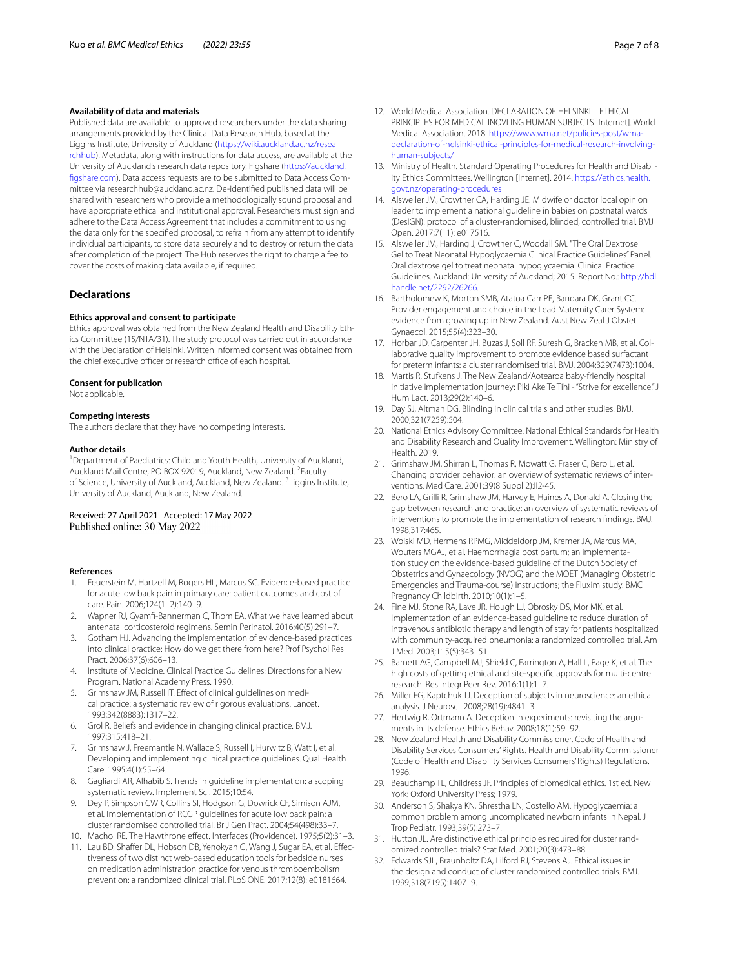# **Availability of data and materials**

Published data are available to approved researchers under the data sharing arrangements provided by the Clinical Data Research Hub, based at the Liggins Institute, University of Auckland ([https://wiki.auckland.ac.nz/resea](https://wiki.auckland.ac.nz/researchhub) [rchhub](https://wiki.auckland.ac.nz/researchhub)). Metadata, along with instructions for data access, are available at the University of Auckland's research data repository, Figshare ([https://auckland.](https://auckland.figshare.com) [fgshare.com](https://auckland.figshare.com)). Data access requests are to be submitted to Data Access Committee via researchhub@auckland.ac.nz. De-identifed published data will be shared with researchers who provide a methodologically sound proposal and have appropriate ethical and institutional approval. Researchers must sign and adhere to the Data Access Agreement that includes a commitment to using the data only for the specifed proposal, to refrain from any attempt to identify individual participants, to store data securely and to destroy or return the data after completion of the project. The Hub reserves the right to charge a fee to cover the costs of making data available, if required.

# **Declarations**

#### **Ethics approval and consent to participate**

Ethics approval was obtained from the New Zealand Health and Disability Ethics Committee (15/NTA/31). The study protocol was carried out in accordance with the Declaration of Helsinki. Written informed consent was obtained from the chief executive officer or research office of each hospital.

#### **Consent for publication**

Not applicable.

#### **Competing interests**

The authors declare that they have no competing interests.

#### **Author details**

<sup>1</sup> Department of Paediatrics: Child and Youth Health, University of Auckland, Auckland Mail Centre, PO BOX 92019, Auckland, New Zealand. <sup>2</sup> Faculty of Science, University of Auckland, Auckland, New Zealand. <sup>3</sup> Liggins Institute, University of Auckland, Auckland, New Zealand.

# Received: 27 April 2021 Accepted: 17 May 2022<br>Published online: 30 May 2022

#### **References**

- <span id="page-6-0"></span>1. Feuerstein M, Hartzell M, Rogers HL, Marcus SC. Evidence-based practice for acute low back pain in primary care: patient outcomes and cost of care. Pain. 2006;124(1–2):140–9.
- <span id="page-6-1"></span>2. Wapner RJ, Gyamf-Bannerman C, Thom EA. What we have learned about antenatal corticosteroid regimens. Semin Perinatol. 2016;40(5):291–7.
- <span id="page-6-2"></span>3. Gotham HJ. Advancing the implementation of evidence-based practices into clinical practice: How do we get there from here? Prof Psychol Res Pract. 2006;37(6):606–13.
- <span id="page-6-3"></span>4. Institute of Medicine. Clinical Practice Guidelines: Directions for a New Program. National Academy Press. 1990.
- <span id="page-6-4"></span>5. Grimshaw JM, Russell IT. Efect of clinical guidelines on medical practice: a systematic review of rigorous evaluations. Lancet. 1993;342(8883):1317–22.
- <span id="page-6-5"></span>6. Grol R. Beliefs and evidence in changing clinical practice. BMJ. 1997;315:418–21.
- <span id="page-6-6"></span>7. Grimshaw J, Freemantle N, Wallace S, Russell I, Hurwitz B, Watt I, et al. Developing and implementing clinical practice guidelines. Qual Health Care. 1995;4(1):55–64.
- <span id="page-6-7"></span>8. Gagliardi AR, Alhabib S. Trends in guideline implementation: a scoping systematic review. Implement Sci. 2015;10:54.
- <span id="page-6-8"></span>9. Dey P, Simpson CWR, Collins SI, Hodgson G, Dowrick CF, Simison AJM, et al. Implementation of RCGP guidelines for acute low back pain: a cluster randomised controlled trial. Br J Gen Pract. 2004;54(498):33–7.
- <span id="page-6-9"></span>10. Machol RE. The Hawthrone effect. Interfaces (Providence). 1975;5(2):31-3.
- <span id="page-6-10"></span>11. Lau BD, Shafer DL, Hobson DB, Yenokyan G, Wang J, Sugar EA, et al. Efectiveness of two distinct web-based education tools for bedside nurses on medication administration practice for venous thromboembolism prevention: a randomized clinical trial. PLoS ONE. 2017;12(8): e0181664.
- <span id="page-6-11"></span>12. World Medical Association. DECLARATION OF HELSINKI – ETHICAL PRINCIPLES FOR MEDICAL INOVLING HUMAN SUBJECTS [Internet]. World Medical Association. 2018. [https://www.wma.net/policies-post/wma](https://www.wma.net/policies-post/wma-declaration-of-helsinki-ethical-principles-for-medical-research-involving-human-subjects/)[declaration-of-helsinki-ethical-principles-for-medical-research-involving](https://www.wma.net/policies-post/wma-declaration-of-helsinki-ethical-principles-for-medical-research-involving-human-subjects/)[human-subjects/](https://www.wma.net/policies-post/wma-declaration-of-helsinki-ethical-principles-for-medical-research-involving-human-subjects/)
- <span id="page-6-12"></span>13. Ministry of Health. Standard Operating Procedures for Health and Disability Ethics Committees. Wellington [Internet]. 2014. [https://ethics.health.](https://ethics.health.govt.nz/operating-procedures) [govt.nz/operating-procedures](https://ethics.health.govt.nz/operating-procedures)
- <span id="page-6-13"></span>14. Alsweiler JM, Crowther CA, Harding JE. Midwife or doctor local opinion leader to implement a national guideline in babies on postnatal wards (DesIGN): protocol of a cluster-randomised, blinded, controlled trial. BMJ Open. 2017;7(11): e017516.
- <span id="page-6-14"></span>15. Alsweiler JM, Harding J, Crowther C, Woodall SM. "The Oral Dextrose Gel to Treat Neonatal Hypoglycaemia Clinical Practice Guidelines" Panel. Oral dextrose gel to treat neonatal hypoglycaemia: Clinical Practice Guidelines. Auckland: University of Auckland; 2015. Report No.: [http://hdl.](http://hdl.handle.net/2292/26266) [handle.net/2292/26266.](http://hdl.handle.net/2292/26266)
- <span id="page-6-15"></span>16. Bartholomew K, Morton SMB, Atatoa Carr PE, Bandara DK, Grant CC. Provider engagement and choice in the Lead Maternity Carer System: evidence from growing up in New Zealand. Aust New Zeal J Obstet Gynaecol. 2015;55(4):323–30.
- <span id="page-6-16"></span>17. Horbar JD, Carpenter JH, Buzas J, Soll RF, Suresh G, Bracken MB, et al. Collaborative quality improvement to promote evidence based surfactant for preterm infants: a cluster randomised trial. BMJ. 2004;329(7473):1004.
- <span id="page-6-17"></span>18. Martis R, Stufkens J. The New Zealand/Aotearoa baby-friendly hospital initiative implementation journey: Piki Ake Te Tihi - "Strive for excellence." J Hum Lact. 2013;29(2):140–6.
- <span id="page-6-18"></span>19. Day SJ, Altman DG. Blinding in clinical trials and other studies. BMJ. 2000;321(7259):504.
- <span id="page-6-19"></span>20. National Ethics Advisory Committee. National Ethical Standards for Health and Disability Research and Quality Improvement. Wellington: Ministry of Health. 2019.
- <span id="page-6-20"></span>21. Grimshaw JM, Shirran L, Thomas R, Mowatt G, Fraser C, Bero L, et al. Changing provider behavior: an overview of systematic reviews of interventions. Med Care. 2001;39(8 Suppl 2):II2-45.
- <span id="page-6-21"></span>22. Bero LA, Grilli R, Grimshaw JM, Harvey E, Haines A, Donald A. Closing the gap between research and practice: an overview of systematic reviews of interventions to promote the implementation of research fndings. BMJ. 1998;317:465.
- <span id="page-6-22"></span>23. Woiski MD, Hermens RPMG, Middeldorp JM, Kremer JA, Marcus MA, Wouters MGAJ, et al. Haemorrhagia post partum; an implementation study on the evidence-based guideline of the Dutch Society of Obstetrics and Gynaecology (NVOG) and the MOET (Managing Obstetric Emergencies and Trauma-course) instructions; the Fluxim study. BMC Pregnancy Childbirth. 2010;10(1):1–5.
- <span id="page-6-23"></span>24. Fine MJ, Stone RA, Lave JR, Hough LJ, Obrosky DS, Mor MK, et al. Implementation of an evidence-based guideline to reduce duration of intravenous antibiotic therapy and length of stay for patients hospitalized with community-acquired pneumonia: a randomized controlled trial. Am J Med. 2003;115(5):343–51.
- <span id="page-6-24"></span>25. Barnett AG, Campbell MJ, Shield C, Farrington A, Hall L, Page K, et al. The high costs of getting ethical and site-specifc approvals for multi-centre research. Res Integr Peer Rev. 2016;1(1):1–7.
- <span id="page-6-25"></span>26. Miller FG, Kaptchuk TJ. Deception of subjects in neuroscience: an ethical analysis. J Neurosci. 2008;28(19):4841–3.
- <span id="page-6-26"></span>27. Hertwig R, Ortmann A. Deception in experiments: revisiting the arguments in its defense. Ethics Behav. 2008;18(1):59–92.
- <span id="page-6-27"></span>28. New Zealand Health and Disability Commissioner. Code of Health and Disability Services Consumers' Rights. Health and Disability Commissioner (Code of Health and Disability Services Consumers' Rights) Regulations. 1996.
- <span id="page-6-28"></span>29. Beauchamp TL, Childress JF. Principles of biomedical ethics. 1st ed. New York: Oxford University Press; 1979.
- <span id="page-6-29"></span>30. Anderson S, Shakya KN, Shrestha LN, Costello AM. Hypoglycaemia: a common problem among uncomplicated newborn infants in Nepal. J Trop Pediatr. 1993;39(5):273–7.
- <span id="page-6-30"></span>31. Hutton JL. Are distinctive ethical principles required for cluster randomized controlled trials? Stat Med. 2001;20(3):473–88.
- <span id="page-6-31"></span>32. Edwards SJL, Braunholtz DA, Lilford RJ, Stevens AJ. Ethical issues in the design and conduct of cluster randomised controlled trials. BMJ. 1999;318(7195):1407–9.